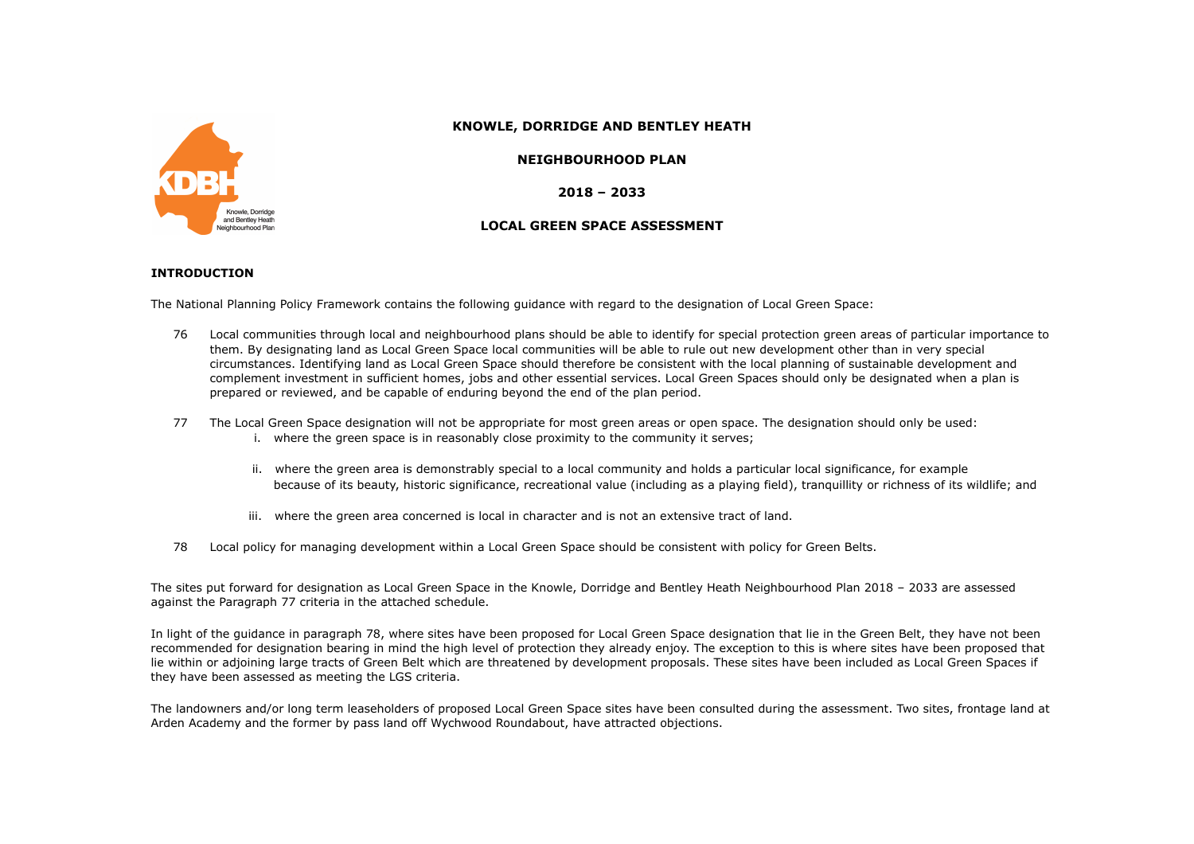

### **KNOWLE, DORRIDGE AND BENTLEY HEATH**

#### **NEIGHBOURHOOD PLAN**

**2018 – 2033**

## **LOCAL GREEN SPACE ASSESSMENT**

#### **INTRODUCTION**

The National Planning Policy Framework contains the following guidance with regard to the designation of Local Green Space:

- 76 Local communities through local and neighbourhood plans should be able to identify for special protection green areas of particular importance to them. By designating land as Local Green Space local communities will be able to rule out new development other than in very special circumstances. Identifying land as Local Green Space should therefore be consistent with the local planning of sustainable development and complement investment in sufficient homes, jobs and other essential services. Local Green Spaces should only be designated when a plan is prepared or reviewed, and be capable of enduring beyond the end of the plan period.
- 77 The Local Green Space designation will not be appropriate for most green areas or open space. The designation should only be used: i. where the green space is in reasonably close proximity to the community it serves;
	- ii. where the green area is demonstrably special to a local community and holds a particular local significance, for example because of its beauty, historic significance, recreational value (including as a playing field), tranquillity or richness of its wildlife; and
	- iii. where the green area concerned is local in character and is not an extensive tract of land.
- 78 Local policy for managing development within a Local Green Space should be consistent with policy for Green Belts.

The sites put forward for designation as Local Green Space in the Knowle, Dorridge and Bentley Heath Neighbourhood Plan 2018 – 2033 are assessed against the Paragraph 77 criteria in the attached schedule.

In light of the guidance in paragraph 78, where sites have been proposed for Local Green Space designation that lie in the Green Belt, they have not been recommended for designation bearing in mind the high level of protection they already enjoy. The exception to this is where sites have been proposed that lie within or adjoining large tracts of Green Belt which are threatened by development proposals. These sites have been included as Local Green Spaces if they have been assessed as meeting the LGS criteria.

The landowners and/or long term leaseholders of proposed Local Green Space sites have been consulted during the assessment. Two sites, frontage land at Arden Academy and the former by pass land off Wychwood Roundabout, have attracted objections.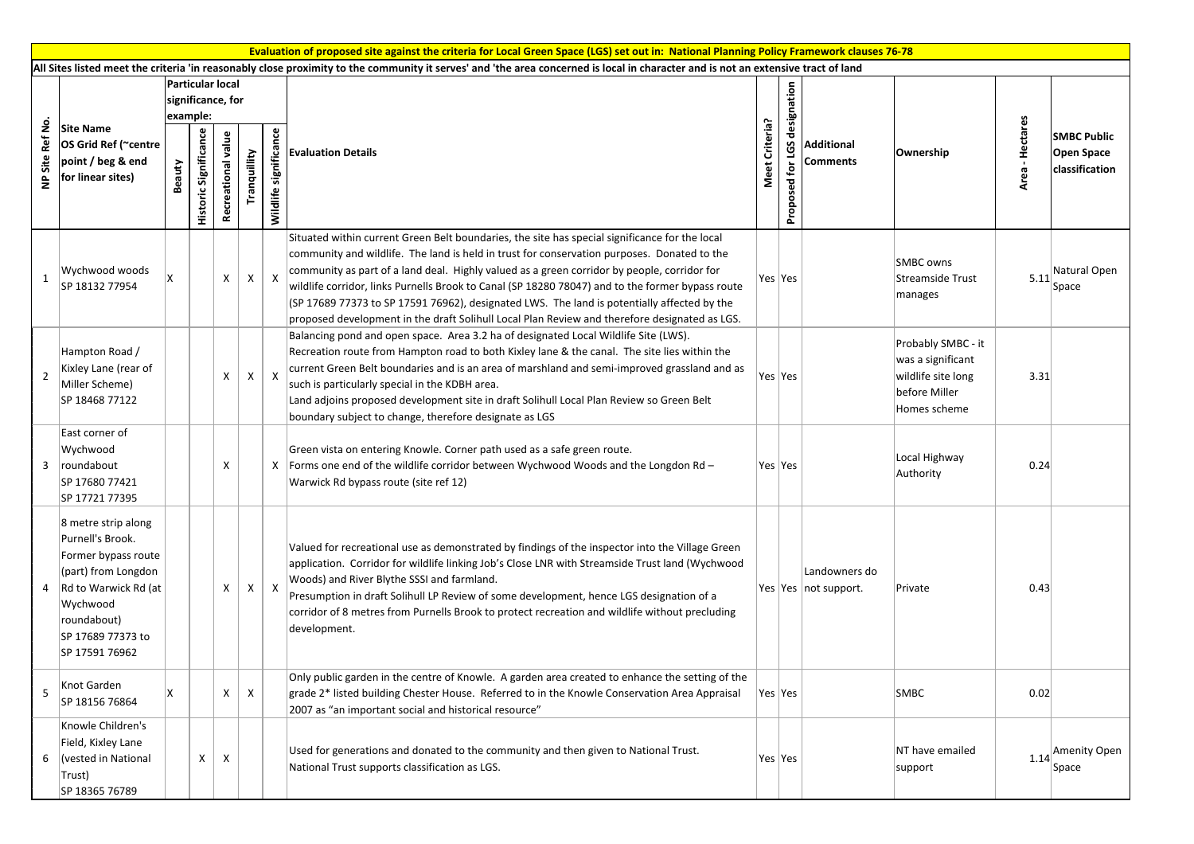|                        | Evaluation of proposed site against the criteria for Local Green Space (LGS) set out in: National Planning Policy Framework clauses 76-78                                         |                                                   |                       |                    |              |                           |                                                                                                                                                                                                                                                                                                                                                                                                                                                                                                                                                                                                  |                |                                             |                                         |                                                                                                |                    |                                                    |
|------------------------|-----------------------------------------------------------------------------------------------------------------------------------------------------------------------------------|---------------------------------------------------|-----------------------|--------------------|--------------|---------------------------|--------------------------------------------------------------------------------------------------------------------------------------------------------------------------------------------------------------------------------------------------------------------------------------------------------------------------------------------------------------------------------------------------------------------------------------------------------------------------------------------------------------------------------------------------------------------------------------------------|----------------|---------------------------------------------|-----------------------------------------|------------------------------------------------------------------------------------------------|--------------------|----------------------------------------------------|
|                        | All Sites listed meet the criteria 'in reasonably close proximity to the community it serves' and 'the area concerned is local in character and is not an extensive tract of land |                                                   |                       |                    |              |                           |                                                                                                                                                                                                                                                                                                                                                                                                                                                                                                                                                                                                  |                |                                             |                                         |                                                                                                |                    |                                                    |
| Site Ref No<br>$\cong$ | <b>Site Name</b><br>OS Grid Ref (~centre<br>point / beg & end<br>for linear sites)                                                                                                | Particular local<br>significance, for<br>example: |                       |                    |              |                           |                                                                                                                                                                                                                                                                                                                                                                                                                                                                                                                                                                                                  |                |                                             |                                         |                                                                                                |                    |                                                    |
|                        |                                                                                                                                                                                   | Beauty                                            | Historic Significance | Recreational value | Tranquillity | Wildlife significance     | <b>Evaluation Details</b>                                                                                                                                                                                                                                                                                                                                                                                                                                                                                                                                                                        | Meet Criteria? | LGS designation<br>$\mathbf{r}$<br>Proposed | Additional<br>Comments                  | Ownership                                                                                      | - Hectares<br>Area | <b>SMBC Public</b><br>Open Space<br>classification |
| 1                      | Wychwood woods<br>SP 18132 77954                                                                                                                                                  |                                                   |                       | X                  | X            | $\mathsf{X}$              | Situated within current Green Belt boundaries, the site has special significance for the local<br>community and wildlife. The land is held in trust for conservation purposes. Donated to the<br>community as part of a land deal. Highly valued as a green corridor by people, corridor for<br>wildlife corridor, links Purnells Brook to Canal (SP 18280 78047) and to the former bypass route<br>(SP 17689 77373 to SP 17591 76962), designated LWS. The land is potentially affected by the<br>proposed development in the draft Solihull Local Plan Review and therefore designated as LGS. |                | Yes  Yes                                    |                                         | <b>SMBC</b> owns<br>Streamside Trust<br>manages                                                | 5.11               | Natural Open<br>Space                              |
| 2                      | Hampton Road /<br>Kixley Lane (rear of<br>Miller Scheme)<br>SP 18468 77122                                                                                                        |                                                   |                       | X                  | X            | $\mathsf{X}$              | Balancing pond and open space. Area 3.2 ha of designated Local Wildlife Site (LWS).<br>Recreation route from Hampton road to both Kixley lane & the canal. The site lies within the<br>current Green Belt boundaries and is an area of marshland and semi-improved grassland and as<br>such is particularly special in the KDBH area.<br>Land adjoins proposed development site in draft Solihull Local Plan Review so Green Belt<br>boundary subject to change, therefore designate as LGS                                                                                                      |                | Yes  Yes                                    |                                         | Probably SMBC - it<br>was a significant<br>wildlife site long<br>before Miller<br>Homes scheme | 3.31               |                                                    |
|                        | East corner of<br>Wychwood<br>3 roundabout<br>SP 17680 77421<br>SP 17721 77395                                                                                                    |                                                   |                       | x                  |              | Х                         | Green vista on entering Knowle. Corner path used as a safe green route.<br>Forms one end of the wildlife corridor between Wychwood Woods and the Longdon Rd -<br>Warwick Rd bypass route (site ref 12)                                                                                                                                                                                                                                                                                                                                                                                           |                | Yes  Yes                                    |                                         | Local Highway<br>Authority                                                                     | 0.24               |                                                    |
|                        | 8 metre strip along<br>Purnell's Brook.<br>Former bypass route<br>(part) from Longdon<br>4 Rd to Warwick Rd (at<br>Wychwood<br>roundabout)<br>SP 17689 77373 to<br>SP 17591 76962 |                                                   |                       | X                  | X            | $\boldsymbol{\mathsf{X}}$ | Valued for recreational use as demonstrated by findings of the inspector into the Village Green<br>application. Corridor for wildlife linking Job's Close LNR with Streamside Trust land (Wychwood<br>Woods) and River Blythe SSSI and farmland.<br>Presumption in draft Solihull LP Review of some development, hence LGS designation of a<br>corridor of 8 metres from Purnells Brook to protect recreation and wildlife without precluding<br>development.                                                                                                                                    |                |                                             | Landowners do<br>Yes Yes   not support. | Private                                                                                        | 0.43               |                                                    |
| 5                      | Knot Garden<br>SP 18156 76864                                                                                                                                                     | X                                                 |                       | X                  | $\mathsf{X}$ |                           | Only public garden in the centre of Knowle. A garden area created to enhance the setting of the<br>grade 2* listed building Chester House. Referred to in the Knowle Conservation Area Appraisal<br>2007 as "an important social and historical resource"                                                                                                                                                                                                                                                                                                                                        |                | Yes  Yes                                    |                                         | <b>SMBC</b>                                                                                    | 0.02               |                                                    |
| 6                      | Knowle Children's<br>Field, Kixley Lane<br>Vested in National<br>Trust)<br>SP 18365 76789                                                                                         |                                                   | X                     | X                  |              |                           | Used for generations and donated to the community and then given to National Trust.<br>National Trust supports classification as LGS.                                                                                                                                                                                                                                                                                                                                                                                                                                                            |                | Yes $ Yes $                                 |                                         | NT have emailed<br>support                                                                     | 1.14               | Amenity Open<br>Space                              |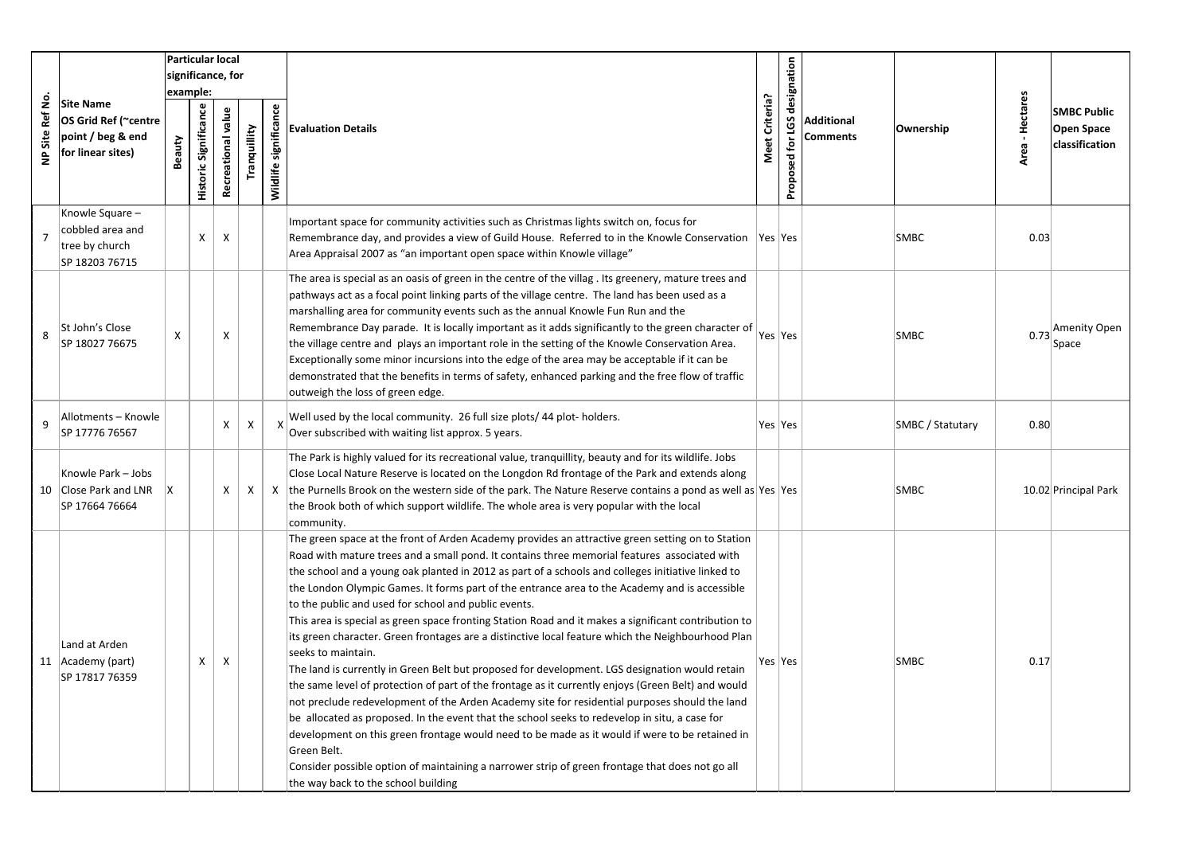|                              |                                                                                    |                   |                              | Particular local   |              |                       |                                                                                                                                                                                                                                                                                                                                                                                                                                                                                                                                                                                                                                                                                                                                                                                                                                                                                                                                                                                                                                                                                                                                                                                                                                                                                                                                                                        |                |                              |                               |                         |                 |                                                    |
|------------------------------|------------------------------------------------------------------------------------|-------------------|------------------------------|--------------------|--------------|-----------------------|------------------------------------------------------------------------------------------------------------------------------------------------------------------------------------------------------------------------------------------------------------------------------------------------------------------------------------------------------------------------------------------------------------------------------------------------------------------------------------------------------------------------------------------------------------------------------------------------------------------------------------------------------------------------------------------------------------------------------------------------------------------------------------------------------------------------------------------------------------------------------------------------------------------------------------------------------------------------------------------------------------------------------------------------------------------------------------------------------------------------------------------------------------------------------------------------------------------------------------------------------------------------------------------------------------------------------------------------------------------------|----------------|------------------------------|-------------------------------|-------------------------|-----------------|----------------------------------------------------|
|                              | <b>Site Name</b><br>OS Grid Ref (~centre<br>point / beg & end<br>for linear sites) | significance, for |                              |                    |              |                       |                                                                                                                                                                                                                                                                                                                                                                                                                                                                                                                                                                                                                                                                                                                                                                                                                                                                                                                                                                                                                                                                                                                                                                                                                                                                                                                                                                        |                |                              |                               |                         |                 |                                                    |
|                              |                                                                                    | example:          |                              |                    |              |                       |                                                                                                                                                                                                                                                                                                                                                                                                                                                                                                                                                                                                                                                                                                                                                                                                                                                                                                                                                                                                                                                                                                                                                                                                                                                                                                                                                                        |                |                              |                               |                         |                 |                                                    |
| Site Ref No<br>$\frac{a}{2}$ |                                                                                    | Beauty            | <b>Historic Significance</b> | Recreational value | Tranquillity | Wildlife significance | <b>Evaluation Details</b>                                                                                                                                                                                                                                                                                                                                                                                                                                                                                                                                                                                                                                                                                                                                                                                                                                                                                                                                                                                                                                                                                                                                                                                                                                                                                                                                              | Meet Criteria? | Proposed for LGS designation | <b>Additional</b><br>Comments | Ownership               | Area - Hectares | <b>SMBC Public</b><br>Open Space<br>classification |
| $\overline{7}$               | Knowle Square -<br>cobbled area and<br>tree by church<br>SP 18203 76715            |                   | X                            | $\mathsf{X}$       |              |                       | Important space for community activities such as Christmas lights switch on, focus for<br>Remembrance day, and provides a view of Guild House. Referred to in the Knowle Conservation  Yes  Yes<br>Area Appraisal 2007 as "an important open space within Knowle village"                                                                                                                                                                                                                                                                                                                                                                                                                                                                                                                                                                                                                                                                                                                                                                                                                                                                                                                                                                                                                                                                                              |                |                              |                               | <b>SMBC</b>             | 0.03            |                                                    |
| 8                            | St John's Close<br>SP 18027 76675                                                  | X                 |                              | X                  |              |                       | The area is special as an oasis of green in the centre of the villag. Its greenery, mature trees and<br>pathways act as a focal point linking parts of the village centre. The land has been used as a<br>marshalling area for community events such as the annual Knowle Fun Run and the<br>Remembrance Day parade. It is locally important as it adds significantly to the green character of<br>the village centre and plays an important role in the setting of the Knowle Conservation Area.<br>Exceptionally some minor incursions into the edge of the area may be acceptable if it can be<br>demonstrated that the benefits in terms of safety, enhanced parking and the free flow of traffic<br>outweigh the loss of green edge.                                                                                                                                                                                                                                                                                                                                                                                                                                                                                                                                                                                                                              |                | Yes  Yes                     |                               | <b>SMBC</b>             | 0.73            | Amenity Open<br>Space                              |
| 9                            | Allotments - Knowle<br>SP 17776 76567                                              |                   |                              | X                  | X            |                       | Well used by the local community. 26 full size plots/ 44 plot-holders.<br>Over subscribed with waiting list approx. 5 years.                                                                                                                                                                                                                                                                                                                                                                                                                                                                                                                                                                                                                                                                                                                                                                                                                                                                                                                                                                                                                                                                                                                                                                                                                                           |                | Yes Yes                      |                               | <b>SMBC / Statutary</b> | 0.80            |                                                    |
|                              | Knowle Park - Jobs<br>10 Close Park and LNR<br>SP 17664 76664                      |                   |                              | X                  | X            | X                     | The Park is highly valued for its recreational value, tranquillity, beauty and for its wildlife. Jobs<br>Close Local Nature Reserve is located on the Longdon Rd frontage of the Park and extends along<br>the Purnells Brook on the western side of the park. The Nature Reserve contains a pond as well as Yes Yes<br>the Brook both of which support wildlife. The whole area is very popular with the local<br>community.                                                                                                                                                                                                                                                                                                                                                                                                                                                                                                                                                                                                                                                                                                                                                                                                                                                                                                                                          |                |                              |                               | <b>SMBC</b>             |                 | 10.02 Principal Park                               |
|                              | Land at Arden<br>11 Academy (part)<br>SP 17817 76359                               |                   | X                            | X                  |              |                       | The green space at the front of Arden Academy provides an attractive green setting on to Station<br>Road with mature trees and a small pond. It contains three memorial features associated with<br>the school and a young oak planted in 2012 as part of a schools and colleges initiative linked to<br>the London Olympic Games. It forms part of the entrance area to the Academy and is accessible<br>to the public and used for school and public events.<br>This area is special as green space fronting Station Road and it makes a significant contribution to<br>its green character. Green frontages are a distinctive local feature which the Neighbourhood Plan<br>seeks to maintain.<br>The land is currently in Green Belt but proposed for development. LGS designation would retain<br>the same level of protection of part of the frontage as it currently enjoys (Green Belt) and would<br>not preclude redevelopment of the Arden Academy site for residential purposes should the land<br>be allocated as proposed. In the event that the school seeks to redevelop in situ, a case for<br>development on this green frontage would need to be made as it would if were to be retained in<br>Green Belt.<br>Consider possible option of maintaining a narrower strip of green frontage that does not go all<br>the way back to the school building |                | Yes  Yes                     |                               | SMBC                    | 0.17            |                                                    |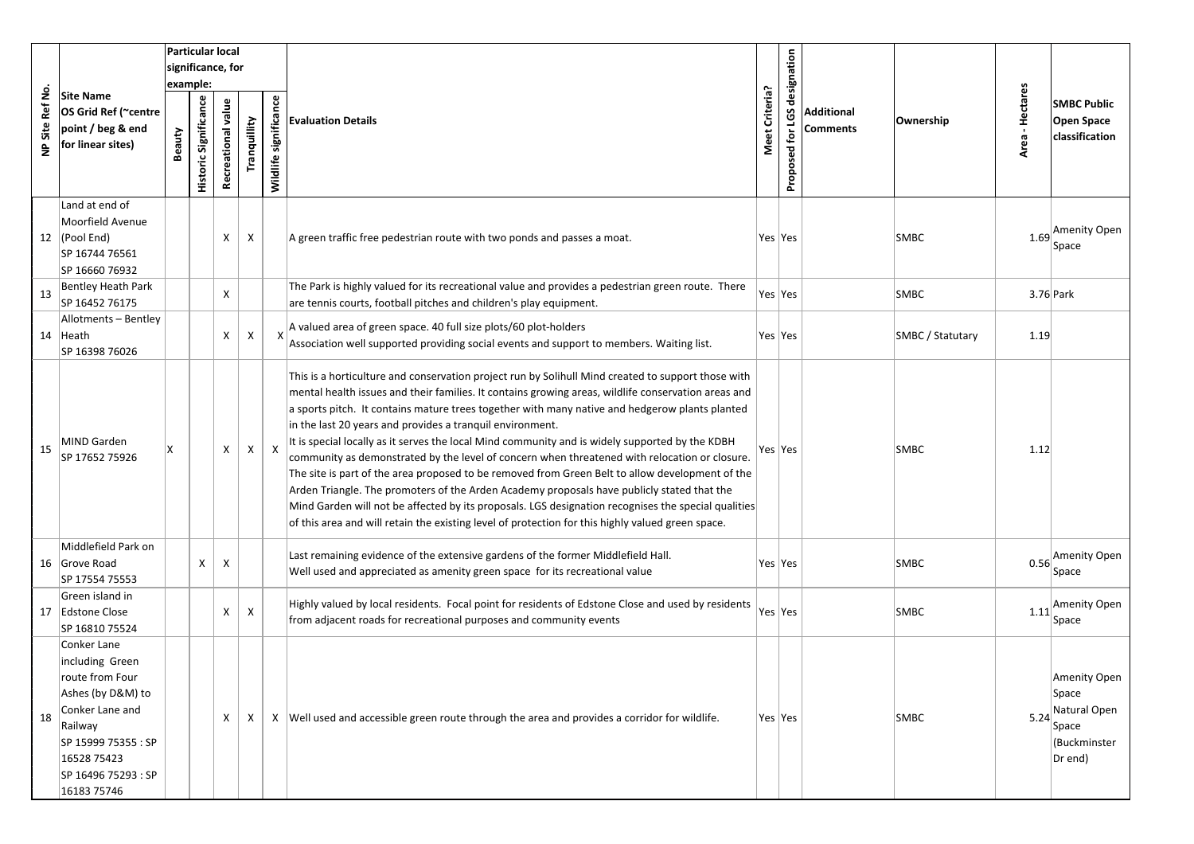|                               |                                                                                                                                                                                  |        | Particular local<br>significance, for |                           |              |                          |                                                                                                                                                                                                                                                                                                                                                                                                                                                                                                                                                                                                                                                                                                                                                                                                                                                                                                                                                                                           |                |                              |                        |                  |                  |                                                                           |
|-------------------------------|----------------------------------------------------------------------------------------------------------------------------------------------------------------------------------|--------|---------------------------------------|---------------------------|--------------|--------------------------|-------------------------------------------------------------------------------------------------------------------------------------------------------------------------------------------------------------------------------------------------------------------------------------------------------------------------------------------------------------------------------------------------------------------------------------------------------------------------------------------------------------------------------------------------------------------------------------------------------------------------------------------------------------------------------------------------------------------------------------------------------------------------------------------------------------------------------------------------------------------------------------------------------------------------------------------------------------------------------------------|----------------|------------------------------|------------------------|------------------|------------------|---------------------------------------------------------------------------|
| Ref No.<br>Site<br>$\epsilon$ | <b>Site Name</b><br>OS Grid Ref (~centre<br>point / beg & end<br>for linear sites)                                                                                               | Beauty | example:<br>Historic Significance     | Recreational value        | Tranquillity | significance<br>Wildlife | <b>Evaluation Details</b>                                                                                                                                                                                                                                                                                                                                                                                                                                                                                                                                                                                                                                                                                                                                                                                                                                                                                                                                                                 | Meet Criteria? | Proposed for LGS designation | Additional<br>Comments | Ownership        | Hectares<br>Area | <b>SMBC Public</b><br>Open Space<br><b>classification</b>                 |
|                               | Land at end of<br>Moorfield Avenue<br>12 $ $ (Pool End)<br>SP 16744 76561<br>SP 16660 76932                                                                                      |        |                                       | Χ                         | X            |                          | A green traffic free pedestrian route with two ponds and passes a moat.                                                                                                                                                                                                                                                                                                                                                                                                                                                                                                                                                                                                                                                                                                                                                                                                                                                                                                                   | Yes  Yes       |                              |                        | <b>SMBC</b>      | 1.69             | Amenity Open<br>Space                                                     |
| 13                            | <b>Bentley Heath Park</b><br>SP 16452 76175                                                                                                                                      |        |                                       | X                         |              |                          | The Park is highly valued for its recreational value and provides a pedestrian green route. There<br>are tennis courts, football pitches and children's play equipment.                                                                                                                                                                                                                                                                                                                                                                                                                                                                                                                                                                                                                                                                                                                                                                                                                   |                | Yes Yes                      |                        | <b>SMBC</b>      | 3.76 Park        |                                                                           |
|                               | Allotments - Bentley<br>14 Heath<br>SP 16398 76026                                                                                                                               |        |                                       | X                         | Χ            |                          | A valued area of green space. 40 full size plots/60 plot-holders<br>Association well supported providing social events and support to members. Waiting list.                                                                                                                                                                                                                                                                                                                                                                                                                                                                                                                                                                                                                                                                                                                                                                                                                              | Yes  Yes       |                              |                        | SMBC / Statutary | 1.19             |                                                                           |
| 15                            | MIND Garden<br>SP 17652 75926                                                                                                                                                    | x      |                                       | X                         | X            | $\mathsf{X}$             | This is a horticulture and conservation project run by Solihull Mind created to support those with<br>mental health issues and their families. It contains growing areas, wildlife conservation areas and<br>a sports pitch. It contains mature trees together with many native and hedgerow plants planted<br>in the last 20 years and provides a tranquil environment.<br>It is special locally as it serves the local Mind community and is widely supported by the KDBH<br>community as demonstrated by the level of concern when threatened with relocation or closure.<br>The site is part of the area proposed to be removed from Green Belt to allow development of the<br>Arden Triangle. The promoters of the Arden Academy proposals have publicly stated that the<br>Mind Garden will not be affected by its proposals. LGS designation recognises the special qualities<br>of this area and will retain the existing level of protection for this highly valued green space. |                | Yes  Yes                     |                        | <b>SMBC</b>      | 1.12             |                                                                           |
|                               | Middlefield Park on<br>16 Grove Road<br>SP 17554 75553                                                                                                                           |        | X                                     | $\boldsymbol{\mathsf{X}}$ |              |                          | Last remaining evidence of the extensive gardens of the former Middlefield Hall.<br>Well used and appreciated as amenity green space for its recreational value                                                                                                                                                                                                                                                                                                                                                                                                                                                                                                                                                                                                                                                                                                                                                                                                                           | Yes  Yes       |                              |                        | <b>SMBC</b>      | 0.56             | Amenity Open<br>Space                                                     |
|                               | Green island in<br>17 Edstone Close<br>SP 16810 75524                                                                                                                            |        |                                       | X                         | X            |                          | Highly valued by local residents. Focal point for residents of Edstone Close and used by residents<br>from adjacent roads for recreational purposes and community events                                                                                                                                                                                                                                                                                                                                                                                                                                                                                                                                                                                                                                                                                                                                                                                                                  | Yes   Yes      |                              |                        | <b>SMBC</b>      | 1.11             | Amenity Open<br>Space                                                     |
| 18                            | Conker Lane<br>including Green<br>route from Four<br>Ashes (by D&M) to<br>Conker Lane and<br>Railway<br>SP 15999 75355 : SP<br>16528 75423<br>SP 16496 75293 : SP<br>16183 75746 |        |                                       | X                         | X            |                          | X  Well used and accessible green route through the area and provides a corridor for wildlife.                                                                                                                                                                                                                                                                                                                                                                                                                                                                                                                                                                                                                                                                                                                                                                                                                                                                                            | Yes Yes        |                              |                        | <b>SMBC</b>      | 5.24             | Amenity Open<br>Space<br>Natural Open<br>Space<br>(Buckminster<br>Dr end) |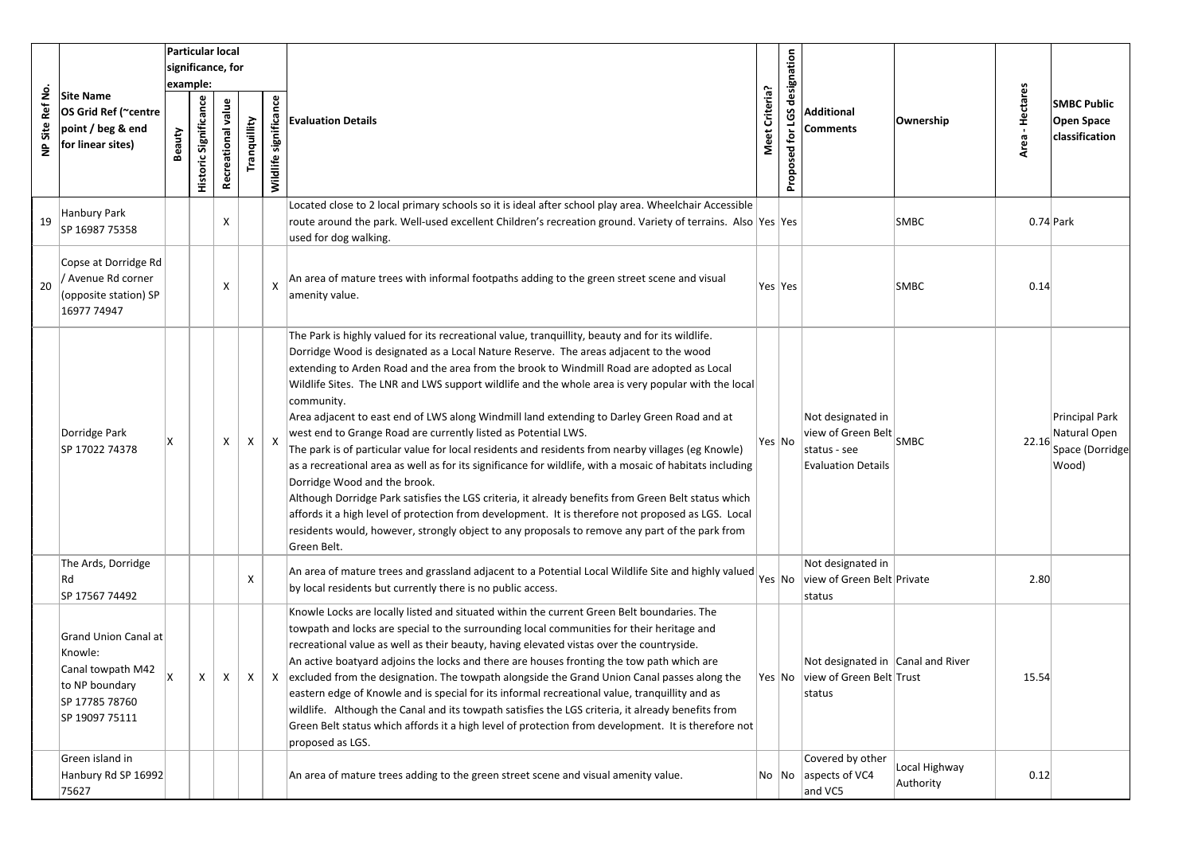|                              |                                                                                                                   |                   |                       | <b>Particular local</b> |              |                           |                                                                                                                                                                                                                                                                                                                                                                                                                                                                                                                                                                                                                                                                                                                                                                                                                                                                                                                                                                                                                                                                                                                                                            |                |                  |                                                                                                            |                            |                    |                                                            |
|------------------------------|-------------------------------------------------------------------------------------------------------------------|-------------------|-----------------------|-------------------------|--------------|---------------------------|------------------------------------------------------------------------------------------------------------------------------------------------------------------------------------------------------------------------------------------------------------------------------------------------------------------------------------------------------------------------------------------------------------------------------------------------------------------------------------------------------------------------------------------------------------------------------------------------------------------------------------------------------------------------------------------------------------------------------------------------------------------------------------------------------------------------------------------------------------------------------------------------------------------------------------------------------------------------------------------------------------------------------------------------------------------------------------------------------------------------------------------------------------|----------------|------------------|------------------------------------------------------------------------------------------------------------|----------------------------|--------------------|------------------------------------------------------------|
|                              | <b>Site Name</b><br>OS Grid Ref (~centre<br>point / beg & end<br>for linear sites)                                | significance, for |                       |                         |              |                           |                                                                                                                                                                                                                                                                                                                                                                                                                                                                                                                                                                                                                                                                                                                                                                                                                                                                                                                                                                                                                                                                                                                                                            |                |                  |                                                                                                            |                            |                    |                                                            |
|                              |                                                                                                                   | example:          |                       |                         |              | designation               |                                                                                                                                                                                                                                                                                                                                                                                                                                                                                                                                                                                                                                                                                                                                                                                                                                                                                                                                                                                                                                                                                                                                                            |                |                  |                                                                                                            |                            |                    |                                                            |
| Site Ref No.<br>$\mathsf{P}$ |                                                                                                                   | Beauty            | Historic Significance | Recreational value      | Tranquillity | significance<br>Wildlife  | <b>Evaluation Details</b>                                                                                                                                                                                                                                                                                                                                                                                                                                                                                                                                                                                                                                                                                                                                                                                                                                                                                                                                                                                                                                                                                                                                  | Meet Criteria? | Proposed for LGS | Additional<br>Comments                                                                                     | Ownership                  | - Hectares<br>Area | <b>SMBC Public</b><br>Open Space<br>classification         |
|                              |                                                                                                                   |                   |                       |                         |              |                           | Located close to 2 local primary schools so it is ideal after school play area. Wheelchair Accessible                                                                                                                                                                                                                                                                                                                                                                                                                                                                                                                                                                                                                                                                                                                                                                                                                                                                                                                                                                                                                                                      |                |                  |                                                                                                            |                            |                    |                                                            |
| 19                           | Hanbury Park<br>SP 16987 75358                                                                                    |                   |                       | х                       |              |                           | route around the park. Well-used excellent Children's recreation ground. Variety of terrains. Also Yes Yes<br>used for dog walking.                                                                                                                                                                                                                                                                                                                                                                                                                                                                                                                                                                                                                                                                                                                                                                                                                                                                                                                                                                                                                        |                |                  |                                                                                                            | SMBC                       |                    | $0.74$ Park                                                |
| 20                           | Copse at Dorridge Rd<br>/ Avenue Rd corner<br>(opposite station) SP<br>16977 74947                                |                   |                       | х                       |              | X                         | An area of mature trees with informal footpaths adding to the green street scene and visual<br>amenity value.                                                                                                                                                                                                                                                                                                                                                                                                                                                                                                                                                                                                                                                                                                                                                                                                                                                                                                                                                                                                                                              | Yes  Yes       |                  |                                                                                                            | SMBC                       | 0.14               |                                                            |
|                              | Dorridge Park<br>SP 17022 74378                                                                                   |                   |                       | X                       | X            | $\boldsymbol{\mathsf{X}}$ | The Park is highly valued for its recreational value, tranquillity, beauty and for its wildlife.<br>Dorridge Wood is designated as a Local Nature Reserve. The areas adjacent to the wood<br>extending to Arden Road and the area from the brook to Windmill Road are adopted as Local<br>Wildlife Sites. The LNR and LWS support wildlife and the whole area is very popular with the local<br>community.<br>Area adjacent to east end of LWS along Windmill land extending to Darley Green Road and at<br>west end to Grange Road are currently listed as Potential LWS.<br>The park is of particular value for local residents and residents from nearby villages (eg Knowle)<br>as a recreational area as well as for its significance for wildlife, with a mosaic of habitats including<br>Dorridge Wood and the brook.<br>Although Dorridge Park satisfies the LGS criteria, it already benefits from Green Belt status which<br>affords it a high level of protection from development. It is therefore not proposed as LGS. Local<br>residents would, however, strongly object to any proposals to remove any part of the park from<br>Green Belt. | Yes No         |                  | Not designated in<br>view of Green Belt $\big _\mathsf{SMBC}$<br>status - see<br><b>Evaluation Details</b> |                            | 22.16              | Principal Park<br>Natural Open<br>Space (Dorridge<br>Wood) |
|                              | The Ards, Dorridge<br>Rd<br>SP 17567 74492                                                                        |                   |                       |                         | X            |                           | An area of mature trees and grassland adjacent to a Potential Local Wildlife Site and highly valued $ _{\sf Yes} _{\sf No}$<br>by local residents but currently there is no public access.                                                                                                                                                                                                                                                                                                                                                                                                                                                                                                                                                                                                                                                                                                                                                                                                                                                                                                                                                                 |                |                  | Not designated in<br>view of Green Belt Private<br>status                                                  |                            | 2.80               |                                                            |
|                              | <b>Grand Union Canal at</b><br>Knowle:<br>Canal towpath M42<br>to NP boundary<br>SP 17785 78760<br>SP 19097 75111 | lx.               | $\mathsf{x}$          | $\mathsf{X}$            | X            |                           | Knowle Locks are locally listed and situated within the current Green Belt boundaries. The<br>towpath and locks are special to the surrounding local communities for their heritage and<br>recreational value as well as their beauty, having elevated vistas over the countryside.<br>An active boatyard adjoins the locks and there are houses fronting the tow path which are<br>$X$ excluded from the designation. The towpath alongside the Grand Union Canal passes along the<br>eastern edge of Knowle and is special for its informal recreational value, tranquillity and as<br>wildlife. Although the Canal and its towpath satisfies the LGS criteria, it already benefits from<br>Green Belt status which affords it a high level of protection from development. It is therefore not<br>proposed as LGS.                                                                                                                                                                                                                                                                                                                                      |                |                  | Not designated in Canal and River<br>Yes No view of Green Belt Trust<br>status                             |                            | 15.54              |                                                            |
|                              | Green island in<br>Hanbury Rd SP 16992<br>75627                                                                   |                   |                       |                         |              |                           | An area of mature trees adding to the green street scene and visual amenity value.                                                                                                                                                                                                                                                                                                                                                                                                                                                                                                                                                                                                                                                                                                                                                                                                                                                                                                                                                                                                                                                                         | No  No         |                  | Covered by other<br>aspects of VC4<br>and VC5                                                              | Local Highway<br>Authority | 0.12               |                                                            |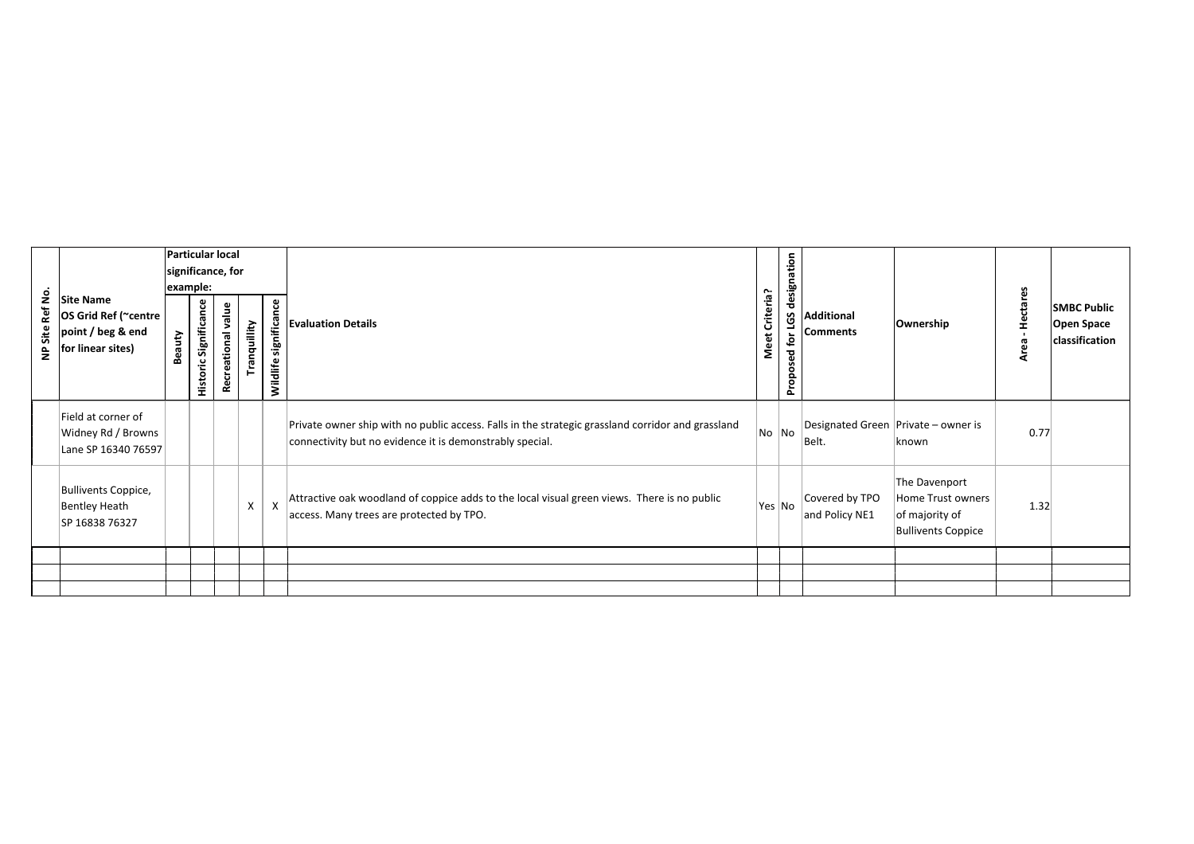| Site Ref No.<br>$\epsilon$ | <b>Site Name</b><br>OS Grid Ref (~centre  <br>point / beg & end<br>for linear sites) | Beauty | example:<br>Historic Significance | Particular local<br>significance, for<br><b>Recreational value</b> | Tranquillity | significance<br>Wildlife  | <b>Evaluation Details</b>                                                                                                                                     | Meet Criteria? | designation<br><u>g</u><br>tor<br>g<br>ō,<br>$\circ$<br>Prop | <b>Additional</b><br><b>Comments</b> | Ownership                                                                         | <b>Hectares</b><br>$\blacksquare$<br>Area | <b>SMBC Public</b><br><b>Open Space</b><br>classification |
|----------------------------|--------------------------------------------------------------------------------------|--------|-----------------------------------|--------------------------------------------------------------------|--------------|---------------------------|---------------------------------------------------------------------------------------------------------------------------------------------------------------|----------------|--------------------------------------------------------------|--------------------------------------|-----------------------------------------------------------------------------------|-------------------------------------------|-----------------------------------------------------------|
|                            | Field at corner of<br>Widney Rd / Browns<br>Lane SP 16340 76597                      |        |                                   |                                                                    |              |                           | Private owner ship with no public access. Falls in the strategic grassland corridor and grassland<br>connectivity but no evidence it is demonstrably special. | No No          |                                                              | Belt.                                | Designated Green Private – owner is<br> known                                     | 0.77                                      |                                                           |
|                            | <b>Bullivents Coppice,</b><br><b>Bentley Heath</b><br>SP 16838 76327                 |        |                                   |                                                                    | X            | $\boldsymbol{\mathsf{X}}$ | Attractive oak woodland of coppice adds to the local visual green views. There is no public<br>access. Many trees are protected by TPO.                       | Yes No         |                                                              | Covered by TPO<br>and Policy NE1     | The Davenport<br>Home Trust owners<br>of majority of<br><b>Bullivents Coppice</b> | 1.32                                      |                                                           |
|                            |                                                                                      |        |                                   |                                                                    |              |                           |                                                                                                                                                               |                |                                                              |                                      |                                                                                   |                                           |                                                           |
|                            |                                                                                      |        |                                   |                                                                    |              |                           |                                                                                                                                                               |                |                                                              |                                      |                                                                                   |                                           |                                                           |
|                            |                                                                                      |        |                                   |                                                                    |              |                           |                                                                                                                                                               |                |                                                              |                                      |                                                                                   |                                           |                                                           |